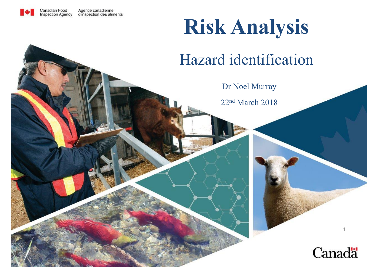

#### **Risk Analysis**

#### Hazard identification

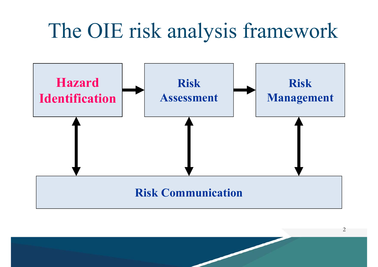# The OIE risk analysis framework



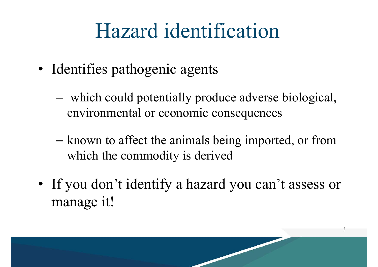- Identifies pathogenic agents
	- – which could potentially produce adverse biological, environmental or economic consequences
	- – known to affect the animals being imported, or from which the commodity is derived
- If you don't identify a hazard you can't assess or manage it!

3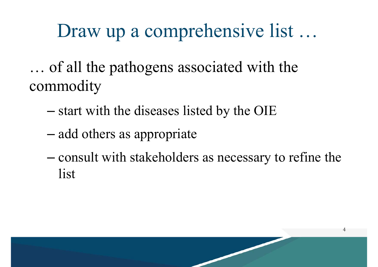#### Draw up a comprehensive list …

… of all the pathogens associated with the commodity

- –start with the diseases listed by the OIE
- –– add others as appropriate
- – consult with stakeholders as necessary to refine the list

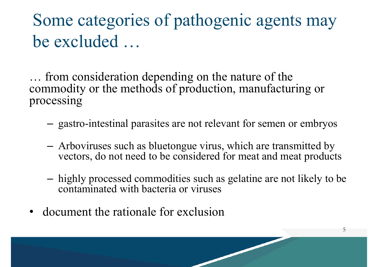#### Some categories of pathogenic agents may be excluded …

… from consideration depending on the nature of the commodity or the methods of production, manufacturing or processing

- gastro-intestinal parasites are not relevant for semen or embryos
- Arboviruses such as bluetongue virus, which are transmitted by vectors, do not need to be considered for meat and meat product s
- – highly processed commodities such as gelatine are not likely to be contaminated with bacteria or viruses

5

•document the rationale for exclusion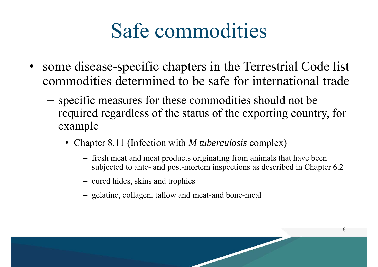## Safe commodities

- • some disease-specific chapters in the Terrestrial Code list commodities determined to be safe for international trade
	- – specific measures for these commodities should not be required regardless of the status of the exporting country, for example
		- Chapter 8.11 (Infection with *M tuberculosis* complex)
			- fresh meat and meat products originating from animals that have been subjected to ante- and post-mortem inspections as described in Chapter 6.2
			- cured hides, skins and trophies
			- gelatine, collagen, tallow and meat-and bone-meal

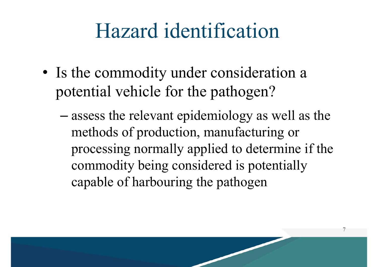- Is the commodity under consideration a potential vehicle for the pathogen?
	- – assess the relevant epidemiology as well as the methods of production, manufacturing or processing normally applied to determine if the commodity being considered is potentially capable of harbouring the pathogen

7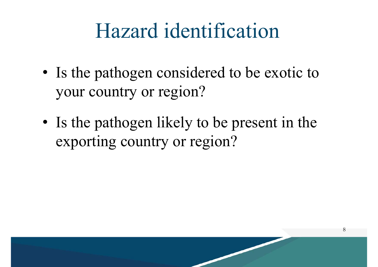- Is the pathogen considered to be exotic to your country or region?
- Is the pathogen likely to be present in the exporting country or region?

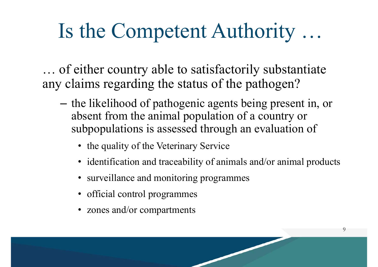# Is the Competent Authority …

… of either country able to satisfactorily substantiate any claims regarding the status of the pathogen?

- – the likelihood of pathogenic agents being present in, or absent from the animal population of a country or subpopulations is assessed through an evaluation of
	- the quality of the Veterinary Service
	- identification and traceability of animals and/or animal products
	- surveillance and monitoring programmes
	- official control programmes
	- zones and/or compartments

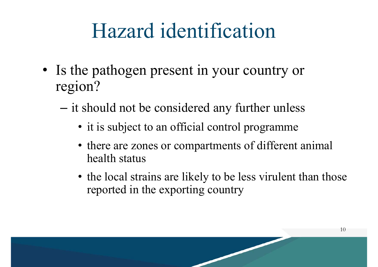- Is the pathogen present in your country or region?
	- – it should not be considered any further unless
		- it is subject to an official control programme
		- there are zones or compartments of different animal health status
		- the local strains are likely to be less virulent than those reported in the exporting country

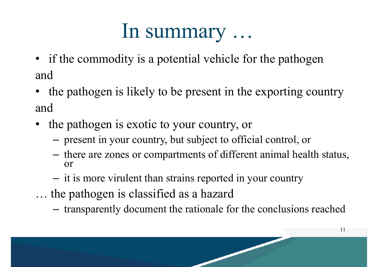#### In summary …

- if the commodity is a potential vehicle for the pathogen and
- the pathogen is likely to be present in the exporting country and
- the pathogen is exotic to your country, or
	- –present in your country, but subject to official control, or
	- – there are zones or compartments of different animal health status, or
	- –- it is more virulent than strains reported in your country
- … the pathogen is classified as a hazard
	- –transparently document the rationale for the conclusions reache d

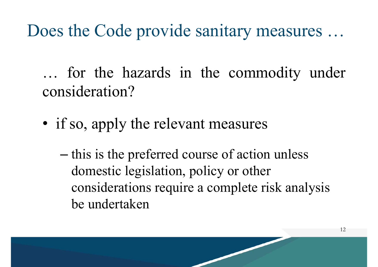#### Does the Code provide sanitary measures …

… for the hazards in the commodity under consideration?

- if so, apply the relevant measures
	- –– this is the preferred course of action unless domestic legislation, policy or other considerations require a complete risk analysis be undertaken

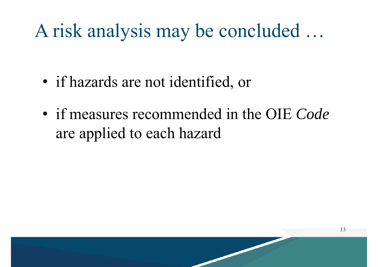#### A risk analysis may be concluded …

- if hazards are not identified, or
- if measures recommended in the OIE *Code*  are applied to each hazard

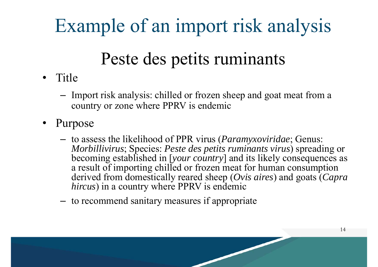## Example of an import risk analysis

#### Peste des petits ruminants

- Title
	- Import risk analysis: chilled or frozen sheep and goat meat from a country or zone where PPRV is endemic
- • Purpose
	- to assess the likelihood of PPR virus (*Paramyxoviridae*; Genus: *Morbillivirus*; Species: *Peste des petits ruminants virus*) spreading or becoming established in [*your country*] and its likely consequences as a result of importing chilled or frozen meat for human consumption derived from domestically reared sheep (*Ovis aires*) and goats (*Capra hircus*) in a country where PPRV is endemic
	- –to recommend sanitary measures if appropriate

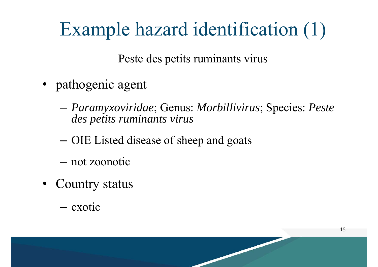## Example hazard identification (1)

Peste des petits ruminants virus

- pathogenic agent
	- – *Paramyxoviridae*; Genus: *Morbillivirus*; Species: *Peste des petits ruminants virus*

15

- –OIE Listed disease of sheep and goats
- not zoonotic
- Country status
	- exotic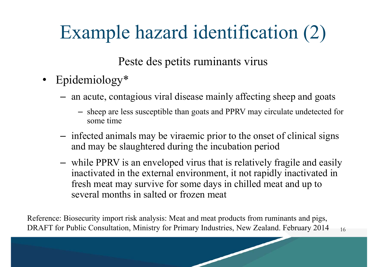## Example hazard identification (2)

Peste des petits ruminants virus

- Epidemiology\*
	- an acute, contagious viral disease mainly affecting sheep and goats
		- sheep are less susceptible than goats and PPRV may circulate undetected for some time
	- –- infected animals may be viraemic prior to the onset of clinical signs and may be slaughtered during the incubation period
	- while PPRV is an enveloped virus that is relatively fragile and easily inactivated in the external environment, it not rapidly inactivated in fresh meat may survive for some days in chilled meat and up to several months in salted or frozen meat

16Reference: Biosecurity import risk analysis: Meat and meat products from ruminants and pigs, DRAFT for Public Consultation, Ministry for Primary Industries, New Zealand. February 2014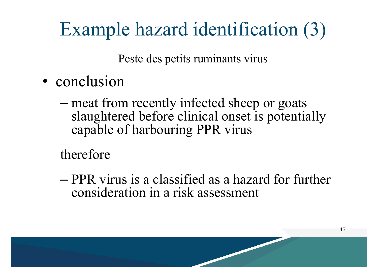## Example hazard identification (3)

Peste des petits ruminants virus

- conclusion
	- – meat from recently infected sheep or goats slaughtered before clinical onset is potentially capable of harbouring PPR virus

therefore

– PPR virus is a classified as a hazard for further consideration in a risk assessment